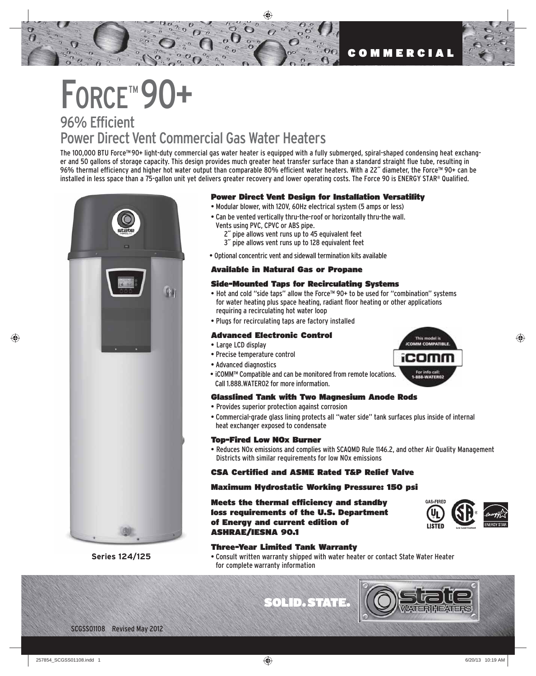# FORCE™90+

### 96% Efficient Power Direct Vent Commercial Gas Water Heaters

The 100,000 BTU Force™ 90+ light-duty commercial gas water heater is equipped with a fully submerged, spiral-shaped condensing heat exchanger and 50 gallons of storage capacity. This design provides much greater heat transfer surface than a standard straight flue tube, resulting in 96% thermal efficiency and higher hot water output than comparable 80% efficient water heaters. With a 22˝ diameter, the Force™ 90+ can be installed in less space than a 75-gallon unit yet delivers greater recovery and lower operating costs. The Force 90 is ENERGY STAR® Qualified.



**Series 124/125**

#### Power Direct Vent Design for Installation Versatility

- Modular blower, with 120V, 60Hz electrical system (5 amps or less)
- Can be vented vertically thru-the-roof or horizontally thru-the wall. Vents using PVC, CPVC or ABS pipe.
	- 2˝ pipe allows vent runs up to 45 equivalent feet 3˝ pipe allows vent runs up to 128 equivalent feet
- Optional concentric vent and sidewall termination kits available

#### Available in Natural Gas or Propane

#### Side-Mounted Taps for Recirculating Systems

- Hot and cold "side taps" allow the Force™ 90+ to be used for "combination" systems for water heating plus space heating, radiant floor heating or other applications requiring a recirculating hot water loop
- Plugs for recirculating taps are factory installed

#### Advanced Electronic Control

- Large LCD display
- Precise temperature control
- Advanced diagnostics
- iCOMM™ Compatible and can be monitored from remote locations. Call 1.888.WATER02 for more information.

#### Glasslined Tank with Two Magnesium Anode Rods

- Provides superior protection against corrosion
- Commercial-grade glass lining protects all "water side" tank surfaces plus inside of internal heat exchanger exposed to condensate

#### Top-Fired Low NOx Burner

• Reduces NOx emissions and complies with SCAQMD Rule 1146.2, and other Air Quality Management Districts with similar requirements for low NOx emissions

#### CSA Certified and ASME Rated T&P Relief Valve

#### Maximum Hydrostatic Working Pressure: 150 psi

Meets the thermal efficiency and standby loss requirements of the U.S. Department of Energy and current edition of ASHRAE/IESNA 90.1



#### Three-Year Limited Tank Warranty

• Consult written warranty shipped with water heater or contact State Water Heater for complete warranty information

**SOLID. STATE** 



This model is **COMM COMPATIBLE** 

For info call<br>888-WATER

iCOM